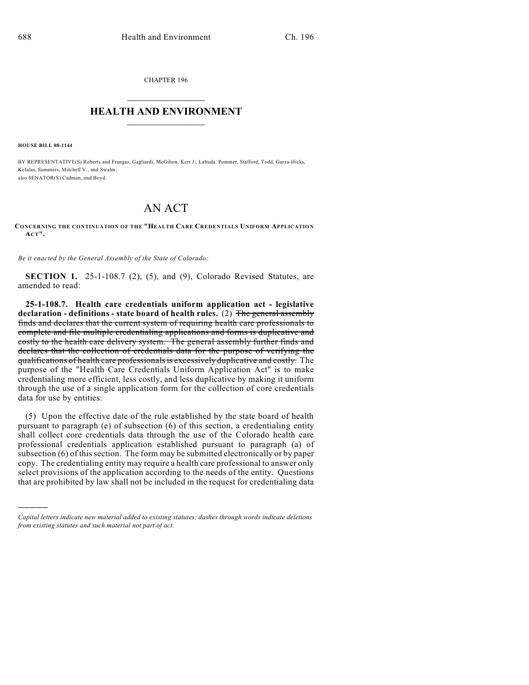CHAPTER 196  $\overline{\phantom{a}}$  . The set of the set of the set of the set of the set of the set of the set of the set of the set of the set of the set of the set of the set of the set of the set of the set of the set of the set of the set o

## **HEALTH AND ENVIRONMENT**  $\_$

**HOUSE BILL 08-1144**

)))))

BY REPRESENTATIVE(S) Roberts and Frangas, Gagliardi, McGihon, Kerr J., Labuda, Pommer, Stafford, Todd, Garza-Hicks, Kefalas, Summers, Mitchell V., and Swalm; also SENATOR(S) Cadman, and Boyd.

## AN ACT

**CONCERNING THE CONTINUATION OF THE "HEALTH CARE CREDENTIALS UNIFORM APPLICATION ACT".**

*Be it enacted by the General Assembly of the State of Colorado:*

**SECTION 1.** 25-1-108.7 (2), (5), and (9), Colorado Revised Statutes, are amended to read:

**25-1-108.7. Health care credentials uniform application act - legislative declaration - definitions - state board of health rules.** (2) The general assembly finds and declares that the current system of requiring health care professionals to complete and file multiple credentialing applications and forms is duplicative and costly to the health care delivery system. The general assembly further finds and declares that the collection of credentials data for the purpose of verifying the qualifications of health care professionals is excessively duplicative and costly. The purpose of the "Health Care Credentials Uniform Application Act" is to make credentialing more efficient, less costly, and less duplicative by making it uniform through the use of a single application form for the collection of core credentials data for use by entities.

(5) Upon the effective date of the rule established by the state board of health pursuant to paragraph (e) of subsection (6) of this section, a credentialing entity shall collect core credentials data through the use of the Colorado health care professional credentials application established pursuant to paragraph (a) of subsection (6) of this section. The form may be submitted electronically or by paper copy. The credentialing entity may require a health care professional to answer only select provisions of the application according to the needs of the entity. Questions that are prohibited by law shall not be included in the request for credentialing data

*Capital letters indicate new material added to existing statutes; dashes through words indicate deletions from existing statutes and such material not part of act.*